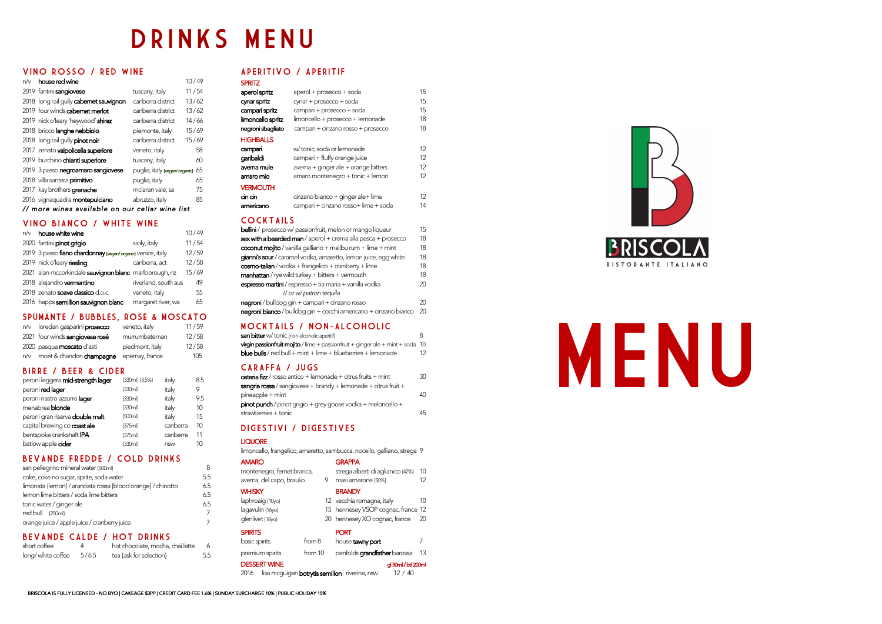## DRINKS MENU

#### VINO ROSSO / RED WINE

| n/v                                             | house red wine                          |                               | 10/49 |  |
|-------------------------------------------------|-----------------------------------------|-------------------------------|-------|--|
|                                                 | 2019 fantini sangiovese                 | tuscany, italy                | 11/54 |  |
|                                                 | 2018 long rail gully cabernet sauvignon | canberra district             | 13/62 |  |
|                                                 | 2019 four winds cabernet merlot         | canberra district             | 13/62 |  |
|                                                 | 2019 nick o'leary 'heywood' shiraz      | canberra district             | 14/66 |  |
|                                                 | 2018 bricco langhe nebbiolo             | piemonte, italy               | 15/69 |  |
|                                                 | 2018 long rail gully pinot noir         | canberra district             | 15/69 |  |
|                                                 | 2017 zenato valpolicella superiore      | veneto, italy                 | 58    |  |
|                                                 | 2019 burchino chianti superiore         | tuscany, italy                | 60    |  |
|                                                 | 2019 3 passo negroamaro sangiovese      | puglia, italy {vegan/organic} | 65    |  |
|                                                 | 2018 villa santera <b>primitivo</b>     | puglia, italy                 | 65    |  |
|                                                 | 2017 kay brothers grenache              | mclaren vale, sa              | 75    |  |
|                                                 | 2016 vignaquadra montepulciano          | abruzzo, italy                | 85    |  |
| // more wines available on our cellar wine list |                                         |                               |       |  |

#### VINO BIANCO / WHITE WINE

| n/v | house white wine                                            |                      | 10/49 |
|-----|-------------------------------------------------------------|----------------------|-------|
|     | 2020 fantini pinot grigio                                   | sicily, italy        | 11/54 |
|     | 2019 3 passo fiano chardonnay {vegan/organic} venice, italy |                      | 12/59 |
|     | 2019 nick o'leary riesling                                  | canberra, act        | 12/58 |
|     | 2021 alan mccorkindale sauvignon blanc marlborough, nz      |                      | 15/69 |
|     | 2018 alejandro vermentino                                   | riverland, south aus | 49    |
|     | 2018 zenato soave dassico d.o.c.                            | veneto, italy        | 55    |
|     | 2016 happs semillion sauvignon blanc                        | margaret river, wa   | 65    |

#### SPUMANTE / BUBBLES, rose & MOSCATO

| n/v loredan gasparini <b>prosecco</b>  | veneto, italy   | 11/59 |
|----------------------------------------|-----------------|-------|
| 2021 four winds sangiovese rosé        | murrumbateman   | 12/58 |
| 2020 pasqua <b>moscato</b> d'asti      | piedmont, italy | 12/58 |
| n/v    moet & chandon <b>champagne</b> | epernay, france | 105   |

#### BIRRE / BEER & CIDER

| peroni leggera <b>mid-strength lager</b> | ${330ml} {3.5%}$ | italy    | 8.5 |
|------------------------------------------|------------------|----------|-----|
| peroni <b>red lager</b>                  | ${330ml}$        | italy    | 9   |
| peroni nastro azzurro <b>lager</b>       | ${330ml}$        | italy    | 9.5 |
| menabrea <b>blonde</b>                   | ${330ml}$        | italy    | 10  |
| peroni gran riserva <b>double malt</b>   | $\{500ml\}$      | italy    | 15  |
| capital brewing co coast ale             | ${375ml}$        | canberra | 10  |
| bentspoke crankshaft IPA                 | ${375ml}$        | canberra | 11  |
| batlow apple <b>cider</b>                | ${330ml}$        | nsw      | 10  |
|                                          |                  |          |     |

#### BEVANDE FREDDE / cold drinks

| san pellegrino mineral water {500ml}                         | 8   |
|--------------------------------------------------------------|-----|
| coke, coke no sugar, sprite, soda water                      | 5.5 |
| limonata {lemon} / aranciata rossa {blood orange} / chinotto | 6.5 |
| lemon lime bitters / soda lime bitters                       | 6.5 |
| tonic water / ginger ale                                     | 6.5 |
| red bull {250ml}                                             | 7   |
| orange juice / apple juice / cranberry juice                 |     |

#### BEVANDE CALDE / HOT DRINKS

| short coffee       |       | hot chocolate, mocha, chai latte |     |
|--------------------|-------|----------------------------------|-----|
| long/ white coffee | 5/6.5 | tea {ask for selection}          | 5.5 |

#### APERITIVO / APERITIF

| <b>SPRITZ</b>           |                                      |    |
|-------------------------|--------------------------------------|----|
| aperol spritz           | aperol + prosecco + soda             | 15 |
| cynar spritz            | $cynar + prosecco + soda$            | 15 |
| campari spritz          | campari + prosecco + soda            | 15 |
| limoncello spritz       | limoncello + prosecco + lemonade     | 18 |
| negroni sbagliato       | campari + cinzano rosso + prosecco   | 18 |
| <b>HIGHBALLS</b>        |                                      |    |
| campari                 | w/tonic, soda or lemonade            | 12 |
| garibaldi               | campari + fluffy orange juice        | 12 |
| avema mule              | averna + ginger ale + orange bitters | 12 |
| amaro mio               | amaro montenegro + tonic + lemon     | 12 |
| <b>VERMOUTH</b>         |                                      |    |
| cin cin                 | cinzano bianco + ginger ale+ lime    | 12 |
| americano               | campari + cinzano rosso+ lime + soda | 14 |
| $C$ $C$ $V$ $T$ $N$ $N$ |                                      |    |

#### COCKTAILS

| <b>bellini</b> / prosecco w/ passionfruit, melon or mango liqueur          | 15  |
|----------------------------------------------------------------------------|-----|
| sex with a bearded man / aperol + crema alla pesca + prosecco              | 18  |
| $\frac{1}{2}$ coconut mojito / vanilla galliano + malibu rum + lime + mint | 18  |
| gianni's sour / caramel vodka, amaretto, lemon juice, egg white            | 18  |
| $cosmo$ -talian / vodka + frangelico + cranberry + lime                    | 18  |
| $m$ anhattan / rye wild turkey + bitters + vermouth                        | 18  |
| espresso martini / espresso + tia maria + vanilla vodka                    |     |
| // or w/ patron tequila                                                    |     |
| $negroni$ / bulldog gin + campari + cinzano rosso                          | 20. |
| negroni bianco / bulldog gin + cocchi americano + cinzano bianco           | 20  |

#### MOCKTAILS / NON-ALCOHOLIC

| <b>san bitter</b> w/ tonic {non-alcoholic aperitif}                                   |    |
|---------------------------------------------------------------------------------------|----|
| <b>virgin passionfruit mojito</b> / lime + passionfruit + ginger ale + mint + soda 10 |    |
| <b>blue bulls</b> / red bull + mint + lime + blueberries + lemonade                   | 12 |

#### CARAFFA / JUGS

| <b>osteria fizz</b> / rosso antico + lemonade + citrus fruits + mint   | 30  |
|------------------------------------------------------------------------|-----|
| <b>sangria rossa</b> / sangiovese + brandy + lemonade + citrus fruit + |     |
| pineapple + mint                                                       | 40  |
| <b>pinot punch</b> / pinot grigio + grey goose vodka + meloncello +    |     |
| strawberries + tonic                                                   | 45. |
|                                                                        |     |

#### DIGESTIVI / DIGESTIVES

#### **LIQUORE**

limoncello, frangelico, amaretto, sambucca, nocello, galliano, strega 9

| <b>AMARO</b>               |           |    | <b>GRAPPA</b>                                                   |    |
|----------------------------|-----------|----|-----------------------------------------------------------------|----|
| montenegro, fernet branca, |           |    | strega alberti di aglianico {42%}                               | 10 |
| averna, del capo, braulio  |           | 9. | masi amarone {50%}                                              | 12 |
| WHISKY                     |           |    | <b>BRANDY</b>                                                   |    |
| laphroaig {10yo}           |           |    | 12 vecchia romagna, italy                                       | 10 |
| lagavulin {16yo}           |           |    | 15 hennesey VSOP cognac, france 12                              |    |
| glenlivet {18yo}           |           |    | 20 hennesey XO cognac, france                                   | 20 |
| <b>SPIRITS</b>             |           |    | <b>PORT</b>                                                     |    |
| basic spirits              | from $8$  |    | house tawny port                                                | 7  |
| premium spirits            | from $10$ |    | penfolds grandfather barossa                                    | 13 |
| <b>DESSERT WINE</b>        |           |    | gl 50ml / btl 200ml                                             |    |
| 2016                       |           |    | lisa mcguigan <b>botrytis semillon</b> riverina, nsw<br>12 / 40 |    |



# MENU